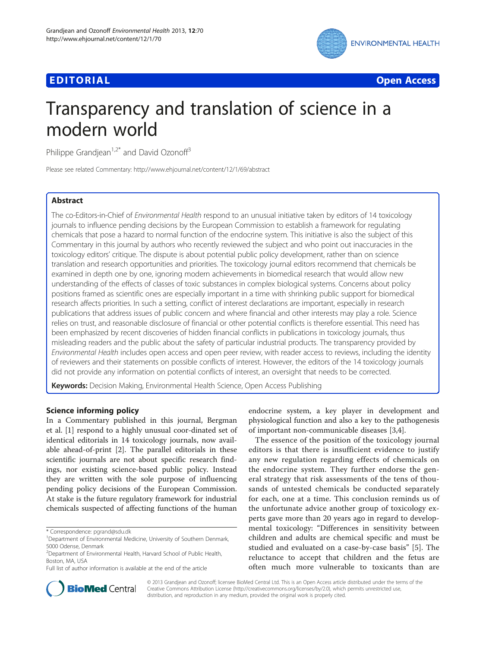# Edition in the contract of the contract of the contract of the contract of the contract of the contract of the<br>Edition of the contract of the contract of the contract of the contract of the contract of the contract of the



# Transparency and translation of science in a modern world

Philippe Grandjean<sup>1,2\*</sup> and David Ozonoff<sup>3</sup>

Please see related Commentary: http://www.ehjournal.net/content/12/1/69/abstract

# **Abstract**

The co-Editors-in-Chief of Environmental Health respond to an unusual initiative taken by editors of 14 toxicology journals to influence pending decisions by the European Commission to establish a framework for regulating chemicals that pose a hazard to normal function of the endocrine system. This initiative is also the subject of this Commentary in this journal by authors who recently reviewed the subject and who point out inaccuracies in the toxicology editors' critique. The dispute is about potential public policy development, rather than on science translation and research opportunities and priorities. The toxicology journal editors recommend that chemicals be examined in depth one by one, ignoring modern achievements in biomedical research that would allow new understanding of the effects of classes of toxic substances in complex biological systems. Concerns about policy positions framed as scientific ones are especially important in a time with shrinking public support for biomedical research affects priorities. In such a setting, conflict of interest declarations are important, especially in research publications that address issues of public concern and where financial and other interests may play a role. Science relies on trust, and reasonable disclosure of financial or other potential conflicts is therefore essential. This need has been emphasized by recent discoveries of hidden financial conflicts in publications in toxicology journals, thus misleading readers and the public about the safety of particular industrial products. The transparency provided by Environmental Health includes open access and open peer review, with reader access to reviews, including the identity of reviewers and their statements on possible conflicts of interest. However, the editors of the 14 toxicology journals did not provide any information on potential conflicts of interest, an oversight that needs to be corrected.

Keywords: Decision Making, Environmental Health Science, Open Access Publishing

In a Commentary published in this journal, Bergman et al. [[1\]](#page-3-0) respond to a highly unusual coor-dinated set of identical editorials in 14 toxicology journals, now available ahead-of-print [[2](#page-3-0)]. The parallel editorials in these scientific journals are not about specific research findings, nor existing science-based public policy. Instead they are written with the sole purpose of influencing pending policy decisions of the European Commission. At stake is the future regulatory framework for industrial chemicals suspected of affecting functions of the human

endocrine system, a key player in development and physiological function and also a key to the pathogenesis of important non-communicable diseases [[3](#page-3-0),[4](#page-3-0)].

The essence of the position of the toxicology journal editors is that there is insufficient evidence to justify any new regulation regarding effects of chemicals on the endocrine system. They further endorse the general strategy that risk assessments of the tens of thousands of untested chemicals be conducted separately for each, one at a time. This conclusion reminds us of the unfortunate advice another group of toxicology experts gave more than 20 years ago in regard to developmental toxicology: "Differences in sensitivity between children and adults are chemical specific and must be studied and evaluated on a case-by-case basis" [\[5](#page-3-0)]. The reluctance to accept that children and the fetus are often much more vulnerable to toxicants than are



© 2013 Grandjean and Ozonoff; licensee BioMed Central Ltd. This is an Open Access article distributed under the terms of the Creative Commons Attribution License (<http://creativecommons.org/licenses/by/2.0>), which permits unrestricted use, distribution, and reproduction in any medium, provided the original work is properly cited.

<sup>\*</sup> Correspondence: [pgrand@sdu.dk](mailto:pgrand@sdu.dk) <sup>1</sup>

<sup>&</sup>lt;sup>1</sup>Department of Environmental Medicine, University of Southern Denmark, 5000 Odense, Denmark

<sup>&</sup>lt;sup>2</sup>Department of Environmental Health, Harvard School of Public Health, Boston, MA, USA

Full list of author information is available at the end of the article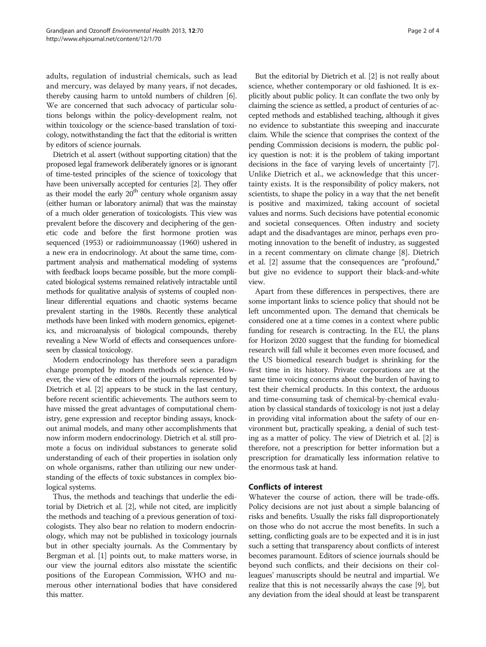adults, regulation of industrial chemicals, such as lead and mercury, was delayed by many years, if not decades, thereby causing harm to untold numbers of children [[6](#page-3-0)]. We are concerned that such advocacy of particular solutions belongs within the policy-development realm, not within toxicology or the science-based translation of toxicology, notwithstanding the fact that the editorial is written by editors of science journals.

Dietrich et al. assert (without supporting citation) that the proposed legal framework deliberately ignores or is ignorant of time-tested principles of the science of toxicology that have been universally accepted for centuries [\[2\]](#page-3-0). They offer as their model the early  $20<sup>th</sup>$  century whole organism assay (either human or laboratory animal) that was the mainstay of a much older generation of toxicologists. This view was prevalent before the discovery and deciphering of the genetic code and before the first hormone protien was sequenced (1953) or radioimmunoassay (1960) ushered in a new era in endocrinology. At about the same time, compartment analysis and mathematical modeling of systems with feedback loops became possible, but the more complicated biological systems remained relatively intractable until methods for qualitative analysis of systems of coupled nonlinear differential equations and chaotic systems became prevalent starting in the 1980s. Recently these analytical methods have been linked with modern genomics, epigenetics, and microanalysis of biological compounds, thereby revealing a New World of effects and consequences unforeseen by classical toxicology.

Modern endocrinology has therefore seen a paradigm change prompted by modern methods of science. However, the view of the editors of the journals represented by Dietrich et al. [\[2\]](#page-3-0) appears to be stuck in the last century, before recent scientific achievements. The authors seem to have missed the great advantages of computational chemistry, gene expression and receptor binding assays, knockout animal models, and many other accomplishments that now inform modern endocrinology. Dietrich et al. still promote a focus on individual substances to generate solid understanding of each of their properties in isolation only on whole organisms, rather than utilizing our new understanding of the effects of toxic substances in complex biological systems.

Thus, the methods and teachings that underlie the editorial by Dietrich et al. [[2\]](#page-3-0), while not cited, are implicitly the methods and teaching of a previous generation of toxicologists. They also bear no relation to modern endocrinology, which may not be published in toxicology journals but in other specialty journals. As the Commentary by Bergman et al. [\[1](#page-3-0)] points out, to make matters worse, in our view the journal editors also misstate the scientific positions of the European Commission, WHO and numerous other international bodies that have considered this matter.

But the editorial by Dietrich et al. [[2](#page-3-0)] is not really about science, whether contemporary or old fashioned. It is explicitly about public policy. It can conflate the two only by claiming the science as settled, a product of centuries of accepted methods and established teaching, although it gives no evidence to substantiate this sweeping and inaccurate claim. While the science that comprises the context of the pending Commission decisions is modern, the public policy question is not: it is the problem of taking important decisions in the face of varying levels of uncertainty [[7](#page-3-0)]. Unlike Dietrich et al., we acknowledge that this uncertainty exists. It is the responsibility of policy makers, not scientists, to shape the policy in a way that the net benefit is positive and maximized, taking account of societal values and norms. Such decisions have potential economic and societal consequences. Often industry and society adapt and the disadvantages are minor, perhaps even promoting innovation to the benefit of industry, as suggested in a recent commentary on climate change [[8\]](#page-3-0). Dietrich et al. [[2\]](#page-3-0) assume that the consequences are "profound," but give no evidence to support their black-and-white view.

Apart from these differences in perspectives, there are some important links to science policy that should not be left uncommented upon. The demand that chemicals be considered one at a time comes in a context where public funding for research is contracting. In the EU, the plans for Horizon 2020 suggest that the funding for biomedical research will fall while it becomes even more focused, and the US biomedical research budget is shrinking for the first time in its history. Private corporations are at the same time voicing concerns about the burden of having to test their chemical products. In this context, the arduous and time-consuming task of chemical-by-chemical evaluation by classical standards of toxicology is not just a delay in providing vital information about the safety of our environment but, practically speaking, a denial of such testing as a matter of policy. The view of Dietrich et al. [\[2](#page-3-0)] is therefore, not a prescription for better information but a prescription for dramatically less information relative to the enormous task at hand.

Whatever the course of action, there will be trade-offs. Policy decisions are not just about a simple balancing of risks and benefits. Usually the risks fall disproportionately on those who do not accrue the most benefits. In such a setting, conflicting goals are to be expected and it is in just such a setting that transparency about conflicts of interest becomes paramount. Editors of science journals should be beyond such conflicts, and their decisions on their colleagues' manuscripts should be neutral and impartial. We realize that this is not necessarily always the case [[9\]](#page-3-0), but any deviation from the ideal should at least be transparent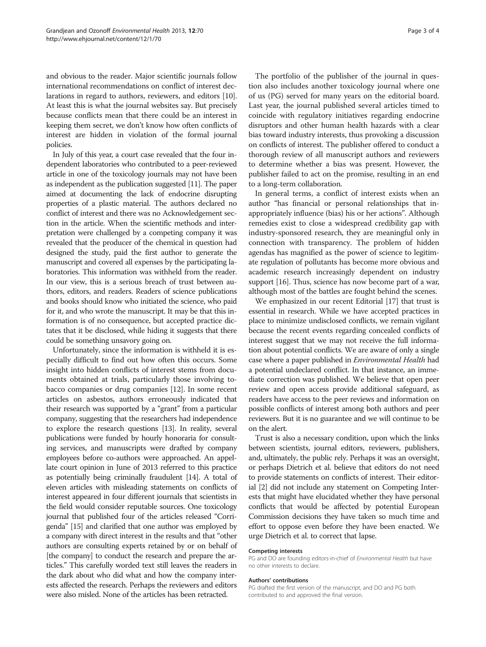and obvious to the reader. Major scientific journals follow international recommendations on conflict of interest declarations in regard to authors, reviewers, and editors [[10](#page-3-0)]. At least this is what the journal websites say. But precisely because conflicts mean that there could be an interest in keeping them secret, we don't know how often conflicts of interest are hidden in violation of the formal journal policies.

In July of this year, a court case revealed that the four independent laboratories who contributed to a peer-reviewed article in one of the toxicology journals may not have been as independent as the publication suggested [\[11\]](#page-3-0). The paper aimed at documenting the lack of endocrine disrupting properties of a plastic material. The authors declared no conflict of interest and there was no Acknowledgement section in the article. When the scientific methods and interpretation were challenged by a competing company it was revealed that the producer of the chemical in question had designed the study, paid the first author to generate the manuscript and covered all expenses by the participating laboratories. This information was withheld from the reader. In our view, this is a serious breach of trust between authors, editors, and readers. Readers of science publications and books should know who initiated the science, who paid for it, and who wrote the manuscript. It may be that this information is of no consequence, but accepted practice dictates that it be disclosed, while hiding it suggests that there could be something unsavory going on.

Unfortunately, since the information is withheld it is especially difficult to find out how often this occurs. Some insight into hidden conflicts of interest stems from documents obtained at trials, particularly those involving tobacco companies or drug companies [\[12\]](#page-3-0). In some recent articles on asbestos, authors erroneously indicated that their research was supported by a "grant" from a particular company, suggesting that the researchers had independence to explore the research questions [\[13\]](#page-3-0). In reality, several publications were funded by hourly honoraria for consulting services, and manuscripts were drafted by company employees before co-authors were approached. An appellate court opinion in June of 2013 referred to this practice as potentially being criminally fraudulent [\[14](#page-3-0)]. A total of eleven articles with misleading statements on conflicts of interest appeared in four different journals that scientists in the field would consider reputable sources. One toxicology journal that published four of the articles released "Corrigenda" [\[15\]](#page-3-0) and clarified that one author was employed by a company with direct interest in the results and that "other authors are consulting experts retained by or on behalf of [the company] to conduct the research and prepare the articles." This carefully worded text still leaves the readers in the dark about who did what and how the company interests affected the research. Perhaps the reviewers and editors were also misled. None of the articles has been retracted.

The portfolio of the publisher of the journal in question also includes another toxicology journal where one of us (PG) served for many years on the editorial board. Last year, the journal published several articles timed to coincide with regulatory initiatives regarding endocrine disruptors and other human health hazards with a clear bias toward industry interests, thus provoking a discussion on conflicts of interest. The publisher offered to conduct a thorough review of all manuscript authors and reviewers to determine whether a bias was present. However, the publisher failed to act on the promise, resulting in an end to a long-term collaboration.

In general terms, a conflict of interest exists when an author "has financial or personal relationships that inappropriately influence (bias) his or her actions". Although remedies exist to close a widespread credibility gap with industry-sponsored research, they are meaningful only in connection with transparency. The problem of hidden agendas has magnified as the power of science to legitimate regulation of pollutants has become more obvious and academic research increasingly dependent on industry support [\[16](#page-3-0)]. Thus, science has now become part of a war, although most of the battles are fought behind the scenes.

We emphasized in our recent Editorial [[17](#page-3-0)] that trust is essential in research. While we have accepted practices in place to minimize undisclosed conflicts, we remain vigilant because the recent events regarding concealed conflicts of interest suggest that we may not receive the full information about potential conflicts. We are aware of only a single case where a paper published in Environmental Health had a potential undeclared conflict. In that instance, an immediate correction was published. We believe that open peer review and open access provide additional safeguard, as readers have access to the peer reviews and information on possible conflicts of interest among both authors and peer reviewers. But it is no guarantee and we will continue to be on the alert.

Trust is also a necessary condition, upon which the links between scientists, journal editors, reviewers, publishers, and, ultimately, the public rely. Perhaps it was an oversight, or perhaps Dietrich et al. believe that editors do not need to provide statements on conflicts of interest. Their editorial [\[2\]](#page-3-0) did not include any statement on Competing Interests that might have elucidated whether they have personal conflicts that would be affected by potential European Commission decisions they have taken so much time and effort to oppose even before they have been enacted. We urge Dietrich et al. to correct that lapse.

### Competing interests

PG and DO are founding editors-in-chief of Environmental Health but have no other interests to declare.

### Authors' contributions

PG drafted the first version of the manuscript, and DO and PG both contributed to and approved the final version.